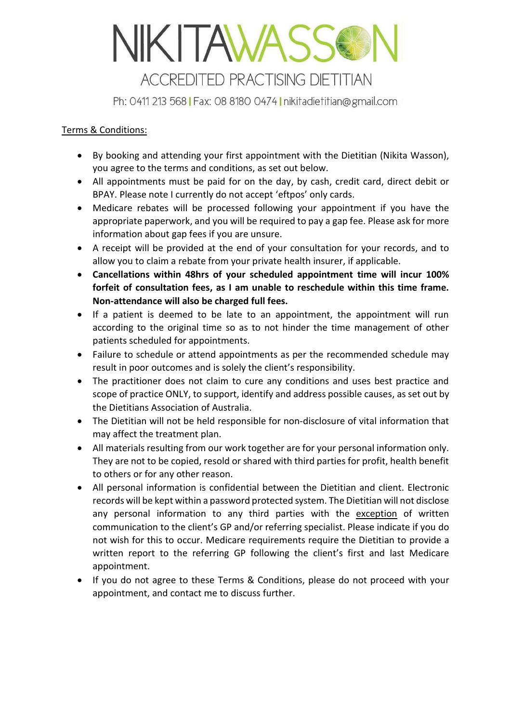## NIKITAWASSO **ACCREDITED PRACTISING DIETITIAN**

Ph: 0411 213 568 | Fax: 08 8180 0474 | nikitadietitian@gmail.com

## Terms & Conditions:

- By booking and attending your first appointment with the Dietitian (Nikita Wasson), you agree to the terms and conditions, as set out below.
- All appointments must be paid for on the day, by cash, credit card, direct debit or BPAY. Please note I currently do not accept 'eftpos' only cards.
- Medicare rebates will be processed following your appointment if you have the appropriate paperwork, and you will be required to pay a gap fee. Please ask for more information about gap fees if you are unsure.
- A receipt will be provided at the end of your consultation for your records, and to allow you to claim a rebate from your private health insurer, if applicable.
- **Cancellations within 48hrs of your scheduled appointment time will incur 100% forfeit of consultation fees, as I am unable to reschedule within this time frame. Non-attendance will also be charged full fees.**
- If a patient is deemed to be late to an appointment, the appointment will run according to the original time so as to not hinder the time management of other patients scheduled for appointments.
- Failure to schedule or attend appointments as per the recommended schedule may result in poor outcomes and is solely the client's responsibility.
- The practitioner does not claim to cure any conditions and uses best practice and scope of practice ONLY, to support, identify and address possible causes, as set out by the Dietitians Association of Australia.
- The Dietitian will not be held responsible for non-disclosure of vital information that may affect the treatment plan.
- All materials resulting from our work together are for your personal information only. They are not to be copied, resold or shared with third parties for profit, health benefit to others or for any other reason.
- All personal information is confidential between the Dietitian and client. Electronic records will be kept within a password protected system. The Dietitian will not disclose any personal information to any third parties with the exception of written communication to the client's GP and/or referring specialist. Please indicate if you do not wish for this to occur. Medicare requirements require the Dietitian to provide a written report to the referring GP following the client's first and last Medicare appointment.
- If you do not agree to these Terms & Conditions, please do not proceed with your appointment, and contact me to discuss further.